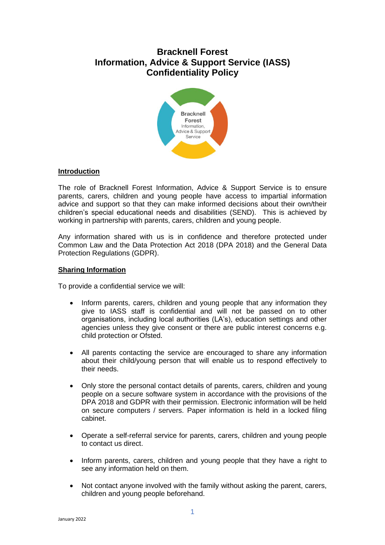# **Bracknell Forest Information, Advice & Support Service (IASS) Confidentiality Policy**



## **Introduction**

The role of Bracknell Forest Information, Advice & Support Service is to ensure parents, carers, children and young people have access to impartial information advice and support so that they can make informed decisions about their own/their children's special educational needs and disabilities (SEND). This is achieved by working in partnership with parents, carers, children and young people.

Any information shared with us is in confidence and therefore protected under Common Law and the Data Protection Act 2018 (DPA 2018) and the General Data Protection Regulations (GDPR).

## **Sharing Information**

To provide a confidential service we will:

- Inform parents, carers, children and young people that any information they give to IASS staff is confidential and will not be passed on to other organisations, including local authorities (LA's), education settings and other agencies unless they give consent or there are public interest concerns e.g. child protection or Ofsted.
- All parents contacting the service are encouraged to share any information about their child/young person that will enable us to respond effectively to their needs.
- Only store the personal contact details of parents, carers, children and young people on a secure software system in accordance with the provisions of the DPA 2018 and GDPR with their permission. Electronic information will be held on secure computers / servers. Paper information is held in a locked filing cabinet.
- Operate a self-referral service for parents, carers, children and young people to contact us direct.
- Inform parents, carers, children and young people that they have a right to see any information held on them.
- Not contact anyone involved with the family without asking the parent, carers, children and young people beforehand.